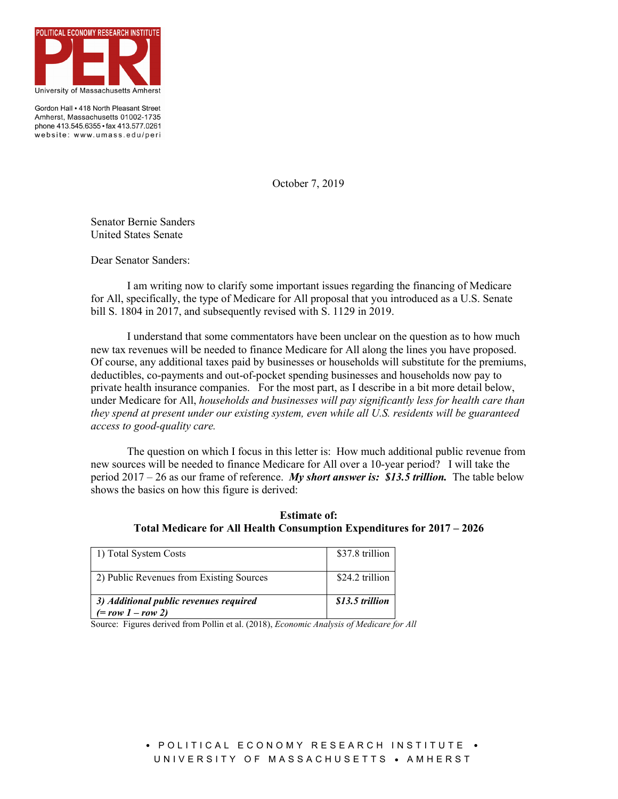

Gordon Hall • 418 North Pleasant Street Amherst, Massachusetts 01002-1735 phone 413.545.6355 · fax 413.577.0261 website: www.umass.edu/peri

October 7, 2019

Senator Bernie Sanders United States Senate

Dear Senator Sanders:

I am writing now to clarify some important issues regarding the financing of Medicare for All, specifically, the type of Medicare for All proposal that you introduced as a U.S. Senate bill S. 1804 in 2017, and subsequently revised with S. 1129 in 2019.

I understand that some commentators have been unclear on the question as to how much new tax revenues will be needed to finance Medicare for All along the lines you have proposed. Of course, any additional taxes paid by businesses or households will substitute for the premiums, deductibles, co-payments and out-of-pocket spending businesses and households now pay to private health insurance companies. For the most part, as I describe in a bit more detail below, under Medicare for All, *households and businesses will pay significantly less for health care than they spend at present under our existing system, even while all U.S. residents will be guaranteed access to good-quality care.* 

The question on which I focus in this letter is: How much additional public revenue from new sources will be needed to finance Medicare for All over a 10-year period? I will take the period 2017 – 26 as our frame of reference. *My short answer is: \$13.5 trillion.* The table below shows the basics on how this figure is derived:

**Estimate of: Total Medicare for All Health Consumption Expenditures for 2017 – 2026**

| 1) Total System Costs                                         | \$37.8 trillion |
|---------------------------------------------------------------|-----------------|
| 2) Public Revenues from Existing Sources                      | \$24.2 trillion |
| 3) Additional public revenues required<br>$(= row 1 - row 2)$ | \$13.5 trillion |

Source: Figures derived from Pollin et al. (2018), *Economic Analysis of Medicare for All*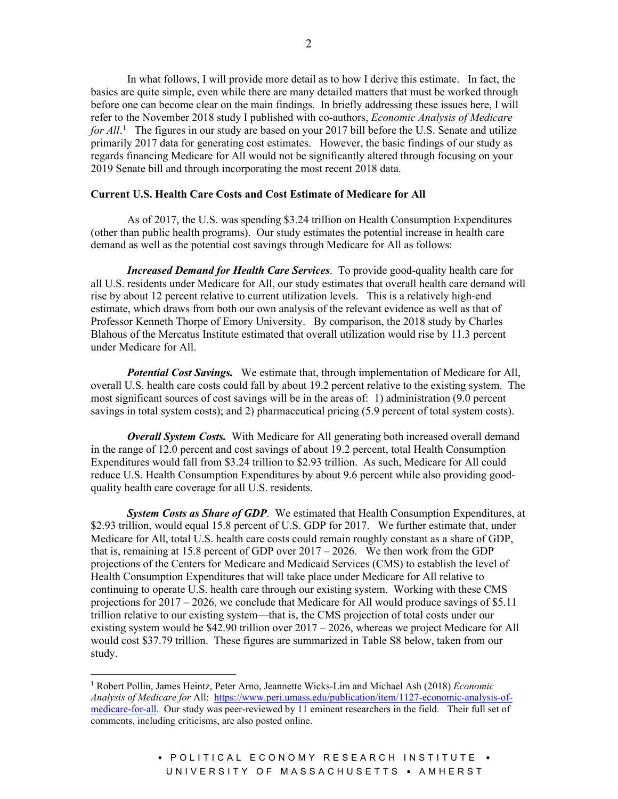In what follows, I will provide more detail as to how I derive this estimate. In fact, the basics are quite simple, even while there are many detailed matters that must be worked through before one can become clear on the main findings. In briefly addressing these issues here, I will refer to the November 2018 study I published with co-authors, *Economic Analysis of Medicare*  for All.<sup>[1](#page-1-0)</sup> The figures in our study are based on your 2017 bill before the U.S. Senate and utilize primarily 2017 data for generating cost estimates. However, the basic findings of our study as regards financing Medicare for All would not be significantly altered through focusing on your 2019 Senate bill and through incorporating the most recent 2018 data.

## **Current U.S. Health Care Costs and Cost Estimate of Medicare for All**

As of 2017, the U.S. was spending \$3.24 trillion on Health Consumption Expenditures (other than public health programs). Our study estimates the potential increase in health care demand as well as the potential cost savings through Medicare for All as follows:

*Increased Demand for Health Care Services*. To provide good-quality health care for all U.S. residents under Medicare for All, our study estimates that overall health care demand will rise by about 12 percent relative to current utilization levels. This is a relatively high-end estimate, which draws from both our own analysis of the relevant evidence as well as that of Professor Kenneth Thorpe of Emory University. By comparison, the 2018 study by Charles Blahous of the Mercatus Institute estimated that overall utilization would rise by 11.3 percent under Medicare for All.

*Potential Cost Savings.* We estimate that, through implementation of Medicare for All, overall U.S. health care costs could fall by about 19.2 percent relative to the existing system. The most significant sources of cost savings will be in the areas of: 1) administration (9.0 percent savings in total system costs); and 2) pharmaceutical pricing (5.9 percent of total system costs).

*Overall System Costs.* With Medicare for All generating both increased overall demand in the range of 12.0 percent and cost savings of about 19.2 percent, total Health Consumption Expenditures would fall from \$3.24 trillion to \$2.93 trillion. As such, Medicare for All could reduce U.S. Health Consumption Expenditures by about 9.6 percent while also providing goodquality health care coverage for all U.S. residents.

*System Costs as Share of GDP*. We estimated that Health Consumption Expenditures, at \$2.93 trillion, would equal 15.8 percent of U.S. GDP for 2017. We further estimate that, under Medicare for All, total U.S. health care costs could remain roughly constant as a share of GDP, that is, remaining at 15.8 percent of GDP over  $2017 - 2026$ . We then work from the GDP projections of the Centers for Medicare and Medicaid Services (CMS) to establish the level of Health Consumption Expenditures that will take place under Medicare for All relative to continuing to operate U.S. health care through our existing system. Working with these CMS projections for  $2017 - 2026$ , we conclude that Medicare for All would produce savings of \$5.11 trillion relative to our existing system—that is, the CMS projection of total costs under our existing system would be \$42.90 trillion over 2017 – 2026, whereas we project Medicare for All would cost \$37.79 trillion. These figures are summarized in Table S8 below, taken from our study.

<span id="page-1-0"></span><sup>1</sup> Robert Pollin, James Heintz, Peter Arno, Jeannette Wicks-Lim and Michael Ash (2018) *Economic Analysis of Medicare for* All: [https://www.peri.umass.edu/publication/item/1127-economic-analysis-of](https://www.peri.umass.edu/publication/item/1127-economic-analysis-of-medicare-for-all)[medicare-for-all.](https://www.peri.umass.edu/publication/item/1127-economic-analysis-of-medicare-for-all) Our study was peer-reviewed by 11 eminent researchers in the field. Their full set of comments, including criticisms, are also posted online.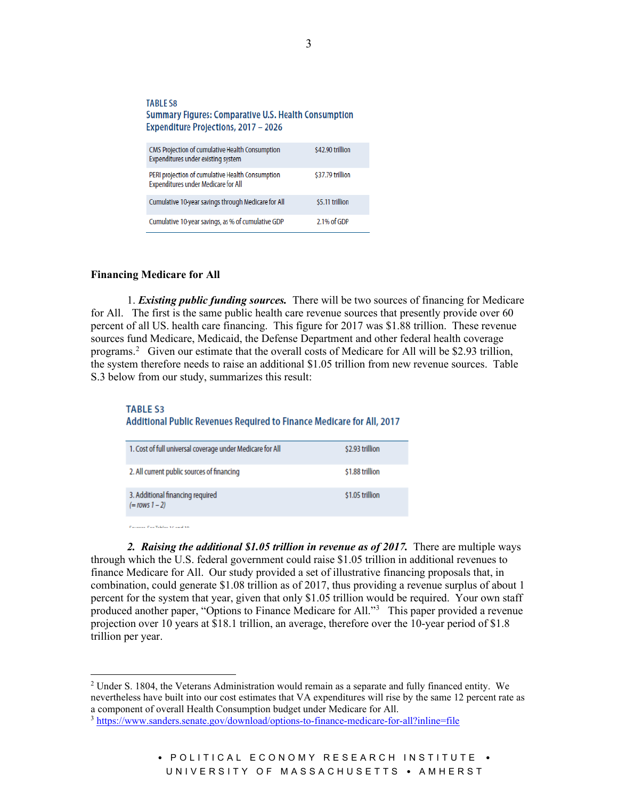#### **TABLE S8 Summary Figures: Comparative U.S. Health Consumption** Expenditure Projections, 2017 - 2026 CMS Projection of cumulative Health Consumption \$42.90 trillion Expenditures under existing system PERI projection of cumulative Health Consumption \$37.79 trillion **Expenditures under Medicare for All** Cumulative 10-year savings through Medicare for All \$5.11 trillion Cumulative 10-year savings, as % of cumulative GDP 2.1% of GDP

#### **Financing Medicare for All**

1. *Existing public funding sources.* There will be two sources of financing for Medicare for All. The first is the same public health care revenue sources that presently provide over 60 percent of all US. health care financing. This figure for 2017 was \$1.88 trillion. These revenue sources fund Medicare, Medicaid, the Defense Department and other federal health coverage programs.<sup>[2](#page-2-0)</sup> Given our estimate that the overall costs of Medicare for All will be \$2.93 trillion, the system therefore needs to raise an additional \$1.05 trillion from new revenue sources. Table S.3 below from our study, summarizes this result:

## **TABLE S3** Additional Public Revenues Required to Finance Medicare for All, 2017

| 1. Cost of full universal coverage under Medicare for All | \$2.93 trillion |
|-----------------------------------------------------------|-----------------|
| 2. All current public sources of financing                | \$1.88 trillion |
| 3. Additional financing required<br>$(=rows 1-2)$         | \$1.05 trillion |
|                                                           |                 |

**Contact Controller Actual Ave** 

*2. Raising the additional \$1.05 trillion in revenue as of 2017.* There are multiple ways through which the U.S. federal government could raise \$1.05 trillion in additional revenues to finance Medicare for All. Our study provided a set of illustrative financing proposals that, in combination, could generate \$1.08 trillion as of 2017, thus providing a revenue surplus of about 1 percent for the system that year, given that only \$1.05 trillion would be required. Your own staff produced another paper, "Options to Finance Medicare for All."<sup>[3](#page-2-1)</sup> This paper provided a revenue projection over 10 years at \$18.1 trillion, an average, therefore over the 10-year period of \$1.8 trillion per year.

# • POLITICAL ECONOMY RESEARCH INSTITUTE • UNIVERSITY OF MASSACHUSETTS • AMHERST

<span id="page-2-0"></span> $2$  Under S. 1804, the Veterans Administration would remain as a separate and fully financed entity. We nevertheless have built into our cost estimates that VA expenditures will rise by the same 12 percent rate as a component of overall Health Consumption budget under Medicare for All.

<span id="page-2-1"></span><sup>3</sup> <https://www.sanders.senate.gov/download/options-to-finance-medicare-for-all?inline=file>